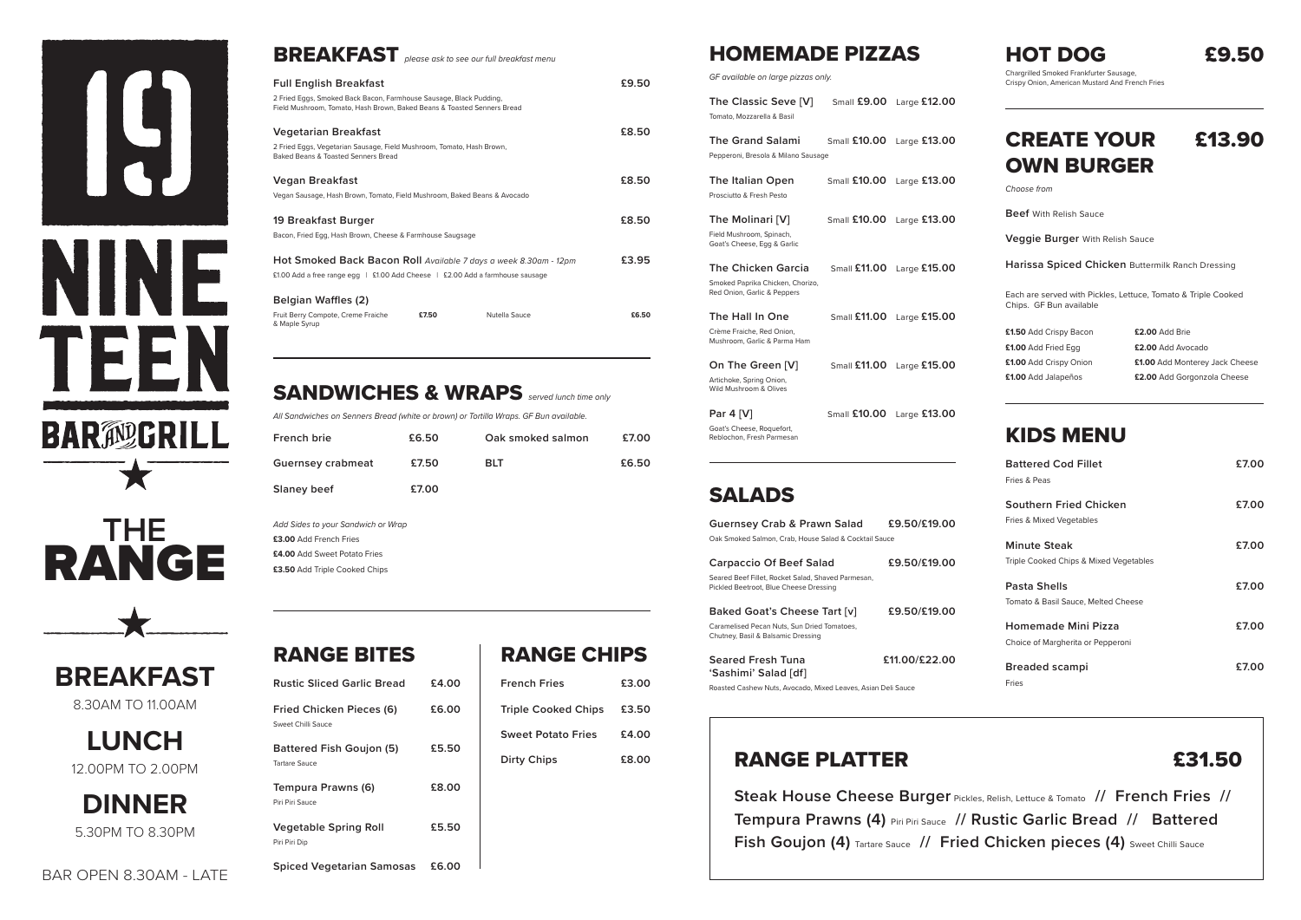



| <b>BREAKFAST</b> please ask to see our full breakfast menu                                                                                                            |       |
|-----------------------------------------------------------------------------------------------------------------------------------------------------------------------|-------|
| <b>Full English Breakfast</b>                                                                                                                                         | £9.50 |
| 2 Fried Eggs, Smoked Back Bacon, Farmhouse Sausage, Black Pudding,<br>Field Mushroom, Tomato, Hash Brown, Baked Beans & Toasted Senners Bread                         |       |
| Vegetarian Breakfast                                                                                                                                                  | £8.50 |
| 2 Fried Eggs, Vegetarian Sausage, Field Mushroom, Tomato, Hash Brown,<br>Baked Beans & Toasted Senners Bread                                                          |       |
| Vegan Breakfast                                                                                                                                                       | £8.50 |
| Vegan Sausage, Hash Brown, Tomato, Field Mushroom, Baked Beans & Avocado                                                                                              |       |
| 19 Breakfast Burger                                                                                                                                                   | £8.50 |
| Bacon, Fried Egg, Hash Brown, Cheese & Farmhouse Saugsage                                                                                                             |       |
| Hot Smoked Back Bacon Roll Available 7 days a week 8.30am - 12pm<br>£1.00 Add a free range egg $\parallel$ £1.00 Add Cheese $\parallel$ £2.00 Add a farmhouse sausage | £3.95 |
| <b>Belgian Waffles (2)</b>                                                                                                                                            |       |
| Nutella Sauce<br>Fruit Berry Compote, Creme Fraiche<br>£7.50<br>& Maple Syrup                                                                                         | £6.50 |

#### SANDWICHES & WRAPS *served lunch time only*

*All Sandwiches on Senners Bread (white or brown) or Tortilla Wraps. GF Bun available.*

| <b>French brie</b>       | £6.50 | Oak smoked salmon | £7.00 |
|--------------------------|-------|-------------------|-------|
| <b>Guernsey crabmeat</b> | £7.50 | <b>BLT</b>        | £6.50 |
| <b>Slaney beef</b>       | £7.00 |                   |       |

*Add Sides to your Sandwich or Wrap* **£3.00** Add French Fries **£4.00** Add Sweet Potato Fries **£3.50** Add Triple Cooked Chips



**LUNCH**  12.00PM TO 2.00PM

**DINNER**  5.30PM TO 8.30PM



Chargrilled Smoked Frankfurter Sausage, Crispy Onion, American Mustard And French Fries

### CREATE YOUR £13.90 OWN BURGER

*Choose from*

**Beef** With Relish Sauce

**Veggie Burger** With Relish Sauce

**Harissa Spiced Chicken** Buttermilk Ranch Dressing

Each are served with Pickles, Lettuce, Tomato & Triple Cooked Chips. GF Bun available

**£1.50** Add Crispy Bacon **£1.00** Add Fried Egg **£1.00** Add Crispy Onion **£1.00** Add Jalapeños

**Steak House Cheese Burger** Pickles, Relish, Lettuce & Tomato **// French Fries // Tempura Prawns (4)** Piri Piri Sauce **// Rustic Garlic Bread // Battered Fish Goujon (4)** Tartare Sauce // Fried Chicken pieces (4) Sweet Chilli Sauce

**£2.00** Add Brie **£2.00** Add Avocado **£1.00** Add Monterey Jack Cheese **£2.00** Add Gorgonzola Cheese

#### KIDS MENU

| <b>Battered Cod Fillet</b><br>Fries & Peas                      | £7.00 |
|-----------------------------------------------------------------|-------|
| Southern Fried Chicken<br>Fries & Mixed Vegetables              | £7.00 |
| <b>Minute Steak</b><br>Triple Cooked Chips & Mixed Vegetables   | £7.00 |
| Pasta Shells<br>Tomato & Basil Sauce, Melted Cheese             | £7.00 |
| <b>Homemade Mini Pizza</b><br>Choice of Margherita or Pepperoni | £7.00 |
| Breaded scampi<br>Fries                                         | £7.00 |

### HOMEMADE PIZZAS

| The Classic Seve [V]<br>Tomato, Mozzarella & Basil                                           | Small $£9.00$       | Large $£12.00$ |
|----------------------------------------------------------------------------------------------|---------------------|----------------|
| <b>The Grand Salami</b><br>Pepperoni, Bresola & Milano Sausage                               | <b>Small £10.00</b> | Large $£13.00$ |
| <b>The Italian Open</b><br>Prosciutto & Fresh Pesto                                          | <b>Small £10.00</b> | Large $£13.00$ |
| The Molinari [V]<br>Field Mushroom, Spinach,<br>Goat's Cheese, Egg & Garlic                  | Small $£10.00$      | Large £13.00   |
| <b>The Chicken Garcia</b><br>Smoked Paprika Chicken, Chorizo,<br>Red Onion, Garlic & Peppers | <b>Small £11.00</b> | Large $£15.00$ |
| The Hall In One<br>Crème Fraiche, Red Onion,<br>Mushroom, Garlic & Parma Ham                 | Small £11.00        | Large $£15.00$ |
| On The Green [V]<br>Artichoke, Spring Onion,<br>Wild Mushroom & Olives                       | Small $£11.00$      | Large £15.00   |
| Par 4 [V]<br>Goat's Cheese, Roquefort,<br>Reblochon, Fresh Parmesan                          | Small $£10.00$      | Large $£13.00$ |

### SALADS

| <b>Guernsey Crab &amp; Prawn Salad</b>                                                       | £9.50/£19.00 |
|----------------------------------------------------------------------------------------------|--------------|
| Oak Smoked Salmon, Crab, House Salad & Cocktail Sauce                                        |              |
| <b>Carpaccio Of Beef Salad</b>                                                               | £9.50/£19.00 |
| Seared Beef Fillet, Rocket Salad, Shaved Parmesan,<br>Pickled Beetroot, Blue Cheese Dressing |              |

**Baked Goat's Cheese Tart [v] £9.50/£19.00** Caramelised Pecan Nuts, Sun Dried Tomatoes, Chutney, Basil & Balsamic Dressing

**Seared Fresh Tuna £11.00/£22.00 'Sashimi' Salad [df]**  Roasted Cashew Nuts, Avocado, Mixed Leaves, Asian Deli Sauce

### RANGE PLATTER **EXAMPLE 21.50**

| <b>RANGE BITES</b>                                    |       |
|-------------------------------------------------------|-------|
| <b>Rustic Sliced Garlic Bread</b>                     | £4.00 |
| <b>Fried Chicken Pieces (6)</b><br>Sweet Chilli Sauce | £6.00 |
| <b>Battered Fish Goujon (5)</b><br>Tartare Sauce      | £5.50 |
| Tempura Prawns (6)<br>Piri Piri Sauce                 | £8.00 |
| <b>Vegetable Spring Roll</b><br>Piri Piri Dip         | £5.50 |
| <b>Spiced Vegetarian Samosas</b>                      | £6.00 |
|                                                       |       |

### RANGE CHIPS

| <b>French Fries</b>        | £3.00 |
|----------------------------|-------|
| <b>Triple Cooked Chips</b> | £3.50 |
| <b>Sweet Potato Fries</b>  | £4.00 |
| <b>Dirty Chips</b>         | £8.00 |